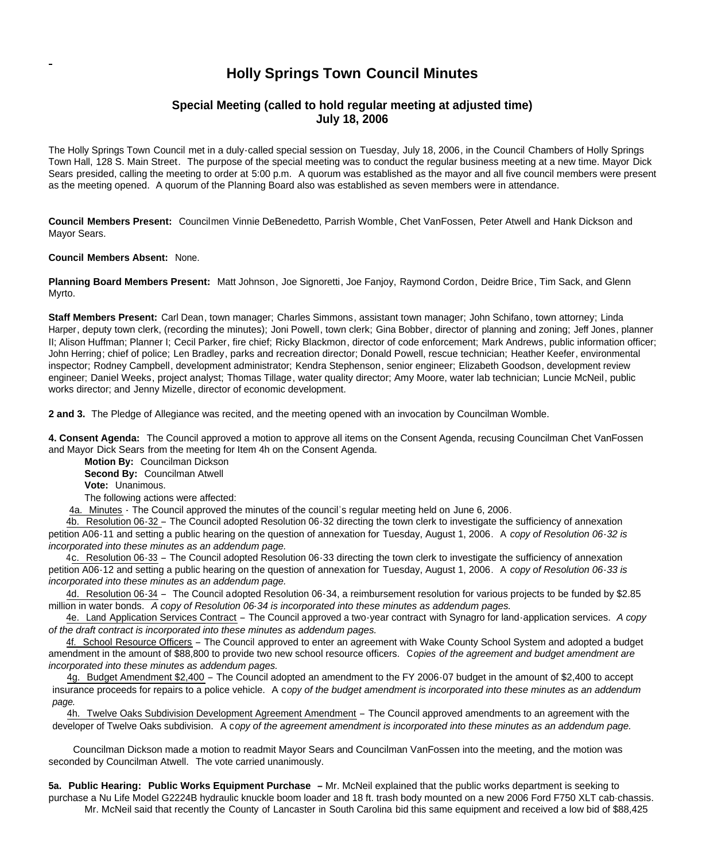## **Holly Springs Town Council Minutes**

## **Special Meeting (called to hold regular meeting at adjusted time) July 18, 2006**

The Holly Springs Town Council met in a duly-called special session on Tuesday, July 18, 2006, in the Council Chambers of Holly Springs Town Hall, 128 S. Main Street. The purpose of the special meeting was to conduct the regular business meeting at a new time. Mayor Dick Sears presided, calling the meeting to order at 5:00 p.m. A quorum was established as the mayor and all five council members were present as the meeting opened. A quorum of the Planning Board also was established as seven members were in attendance.

**Council Members Present:** Councilmen Vinnie DeBenedetto, Parrish Womble, Chet VanFossen, Peter Atwell and Hank Dickson and Mayor Sears.

**Council Members Absent:** None.

**Planning Board Members Present:** Matt Johnson, Joe Signoretti, Joe Fanjoy, Raymond Cordon, Deidre Brice, Tim Sack, and Glenn Myrto.

**Staff Members Present:** Carl Dean, town manager; Charles Simmons, assistant town manager; John Schifano, town attorney; Linda Harper, deputy town clerk, (recording the minutes); Joni Powell, town clerk; Gina Bobber, director of planning and zoning; Jeff Jones, planner II; Alison Huffman; Planner I; Cecil Parker, fire chief; Ricky Blackmon, director of code enforcement; Mark Andrews, public information officer; John Herring; chief of police; Len Bradley, parks and recreation director; Donald Powell, rescue technician; Heather Keefer, environmental inspector; Rodney Campbell, development administrator; Kendra Stephenson, senior engineer; Elizabeth Goodson, development review engineer; Daniel Weeks, project analyst; Thomas Tillage, water quality director; Amy Moore, water lab technician; Luncie McNeil, public works director; and Jenny Mizelle, director of economic development.

**2 and 3.** The Pledge of Allegiance was recited, and the meeting opened with an invocation by Councilman Womble.

**4. Consent Agenda:** The Council approved a motion to approve all items on the Consent Agenda, recusing Councilman Chet VanFossen and Mayor Dick Sears from the meeting for Item 4h on the Consent Agenda.

**Motion By:** Councilman Dickson

**Second By:** Councilman Atwell

**Vote:** Unanimous.

The following actions were affected:

4a. Minutes - The Council approved the minutes of the council's regular meeting held on June 6, 2006.

4b. Resolution 06-32 – The Council adopted Resolution 06-32 directing the town clerk to investigate the sufficiency of annexation petition A06-11 and setting a public hearing on the question of annexation for Tuesday, August 1, 2006. A *copy of Resolution 06-32 is incorporated into these minutes as an addendum page.*

4c. Resolution 06-33 – The Council adopted Resolution 06-33 directing the town clerk to investigate the sufficiency of annexation petition A06-12 and setting a public hearing on the question of annexation for Tuesday, August 1, 2006. A *copy of Resolution 06-33 is incorporated into these minutes as an addendum page.*

4d. Resolution 06-34 – The Council adopted Resolution 06-34, a reimbursement resolution for various projects to be funded by \$2.85 million in water bonds. *A copy of Resolution 06-34 is incorporated into these minutes as addendum pages.*

4e. Land Application Services Contract – The Council approved a two-year contract with Synagro for land-application services. *A copy of the draft contract is incorporated into these minutes as addendum pages.*

4f. School Resource Officers – The Council approved to enter an agreement with Wake County School System and adopted a budget amendment in the amount of \$88,800 to provide two new school resource officers. C*opies of the agreement and budget amendment are incorporated into these minutes as addendum pages.*

4g. Budget Amendment \$2,400 – The Council adopted an amendment to the FY 2006-07 budget in the amount of \$2,400 to accept insurance proceeds for repairs to a police vehicle. A c*opy of the budget amendment is incorporated into these minutes as an addendum page.*

4h. Twelve Oaks Subdivision Development Agreement Amendment – The Council approved amendments to an agreement with the developer of Twelve Oaks subdivision. A c*opy of the agreement amendment is incorporated into these minutes as an addendum page.*

Councilman Dickson made a motion to readmit Mayor Sears and Councilman VanFossen into the meeting, and the motion was seconded by Councilman Atwell. The vote carried unanimously.

**5a. Public Hearing: Public Works Equipment Purchase –** Mr. McNeil explained that the public works department is seeking to purchase a Nu Life Model G2224B hydraulic knuckle boom loader and 18 ft. trash body mounted on a new 2006 Ford F750 XLT cab-chassis.

Mr. McNeil said that recently the County of Lancaster in South Carolina bid this same equipment and received a low bid of \$88,425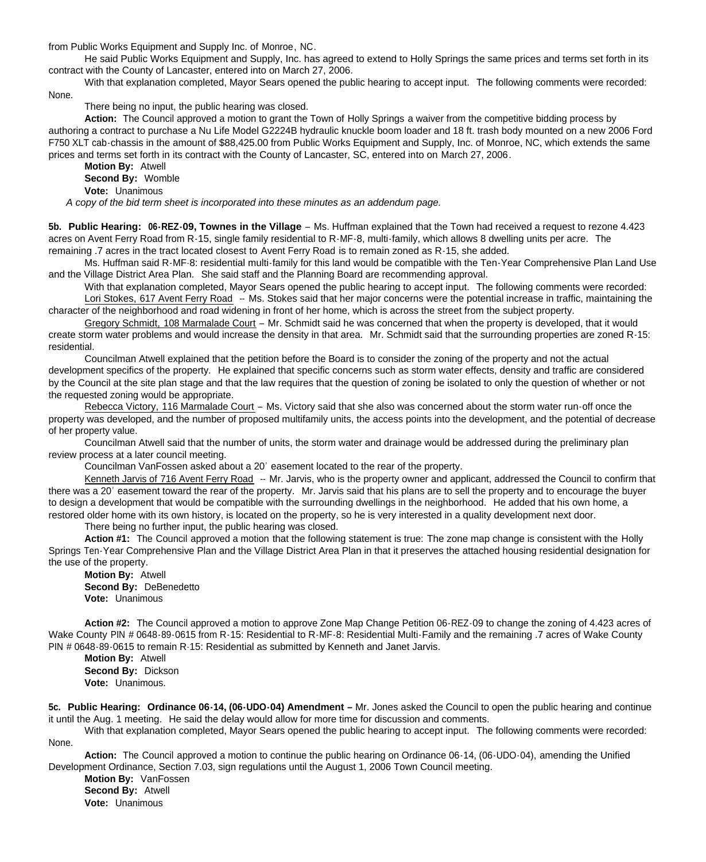from Public Works Equipment and Supply Inc. of Monroe, NC.

He said Public Works Equipment and Supply, Inc. has agreed to extend to Holly Springs the same prices and terms set forth in its contract with the County of Lancaster, entered into on March 27, 2006.

With that explanation completed, Mayor Sears opened the public hearing to accept input. The following comments were recorded:

None.

There being no input, the public hearing was closed.

**Action:** The Council approved a motion to grant the Town of Holly Springs a waiver from the competitive bidding process by authoring a contract to purchase a Nu Life Model G2224B hydraulic knuckle boom loader and 18 ft. trash body mounted on a new 2006 Ford F750 XLT cab-chassis in the amount of \$88,425.00 from Public Works Equipment and Supply, Inc. of Monroe, NC, which extends the same prices and terms set forth in its contract with the County of Lancaster, SC, entered into on March 27, 2006.

**Motion By:** Atwell **Second By:** Womble **Vote:** Unanimous

*A copy of the bid term sheet is incorporated into these minutes as an addendum page.*

**5b. Public Hearing: 06-REZ-09, Townes in the Village** – Ms. Huffman explained that the Town had received a request to rezone 4.423 acres on Avent Ferry Road from R-15, single family residential to R-MF-8, multi-family, which allows 8 dwelling units per acre. The remaining .7 acres in the tract located closest to Avent Ferry Road is to remain zoned as R-15, she added.

Ms. Huffman said R-MF-8: residential multi-family for this land would be compatible with the Ten-Year Comprehensive Plan Land Use and the Village District Area Plan. She said staff and the Planning Board are recommending approval.

With that explanation completed, Mayor Sears opened the public hearing to accept input. The following comments were recorded: Lori Stokes, 617 Avent Ferry Road -- Ms. Stokes said that her major concerns were the potential increase in traffic, maintaining the character of the neighborhood and road widening in front of her home, which is across the street from the subject property.

Gregory Schmidt, 108 Marmalade Court – Mr. Schmidt said he was concerned that when the property is developed, that it would create storm water problems and would increase the density in that area. Mr. Schmidt said that the surrounding properties are zoned R-15: residential.

Councilman Atwell explained that the petition before the Board is to consider the zoning of the property and not the actual development specifics of the property. He explained that specific concerns such as storm water effects, density and traffic are considered by the Council at the site plan stage and that the law requires that the question of zoning be isolated to only the question of whether or not the requested zoning would be appropriate.

Rebecca Victory, 116 Marmalade Court – Ms. Victory said that she also was concerned about the storm water run-off once the property was developed, and the number of proposed multifamily units, the access points into the development, and the potential of decrease of her property value.

Councilman Atwell said that the number of units, the storm water and drainage would be addressed during the preliminary plan review process at a later council meeting.

Councilman VanFossen asked about a 20' easement located to the rear of the property.

Kenneth Jarvis of 716 Avent Ferry Road -- Mr. Jarvis, who is the property owner and applicant, addressed the Council to confirm that there was a 20' easement toward the rear of the property. Mr. Jarvis said that his plans are to sell the property and to encourage the buyer to design a development that would be compatible with the surrounding dwellings in the neighborhood. He added that his own home, a restored older home with its own history, is located on the property, so he is very interested in a quality development next door.

There being no further input, the public hearing was closed.

**Action #1:** The Council approved a motion that the following statement is true: The zone map change is consistent with the Holly Springs Ten-Year Comprehensive Plan and the Village District Area Plan in that it preserves the attached housing residential designation for the use of the property.

**Motion By:** Atwell **Second By:** DeBenedetto **Vote:** Unanimous

**Action #2:** The Council approved a motion to approve Zone Map Change Petition 06-REZ-09 to change the zoning of 4.423 acres of Wake County PIN # 0648-89-0615 from R-15: Residential to R-MF-8: Residential Multi-Family and the remaining .7 acres of Wake County PIN # 0648-89-0615 to remain R-15: Residential as submitted by Kenneth and Janet Jarvis.

**Motion By:** Atwell **Second By:** Dickson **Vote:** Unanimous.

**5c. Public Hearing: Ordinance 06-14, (06-UDO-04) Amendment –** Mr. Jones asked the Council to open the public hearing and continue it until the Aug. 1 meeting. He said the delay would allow for more time for discussion and comments.

With that explanation completed, Mayor Sears opened the public hearing to accept input. The following comments were recorded: None.

**Action:** The Council approved a motion to continue the public hearing on Ordinance 06-14, (06-UDO-04), amending the Unified Development Ordinance, Section 7.03, sign regulations until the August 1, 2006 Town Council meeting.

**Motion By:** VanFossen **Second By:** Atwell **Vote:** Unanimous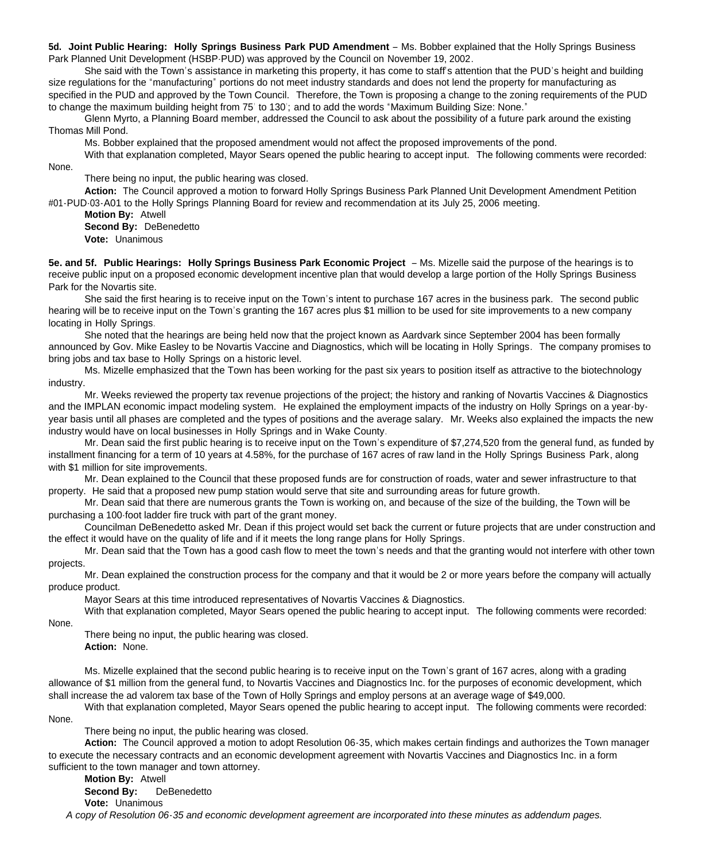**5d. Joint Public Hearing: Holly Springs Business Park PUD Amendment** – Ms. Bobber explained that the Holly Springs Business Park Planned Unit Development (HSBP-PUD) was approved by the Council on November 19, 2002.

She said with the Town's assistance in marketing this property, it has come to staff's attention that the PUD's height and building size regulations for the "manufacturing" portions do not meet industry standards and does not lend the property for manufacturing as specified in the PUD and approved by the Town Council. Therefore, the Town is proposing a change to the zoning requirements of the PUD to change the maximum building height from 75' to 130'; and to add the words "Maximum Building Size: None."

Glenn Myrto, a Planning Board member, addressed the Council to ask about the possibility of a future park around the existing Thomas Mill Pond.

Ms. Bobber explained that the proposed amendment would not affect the proposed improvements of the pond.

With that explanation completed, Mayor Sears opened the public hearing to accept input. The following comments were recorded:

There being no input, the public hearing was closed.

**Action:** The Council approved a motion to forward Holly Springs Business Park Planned Unit Development Amendment Petition #01-PUD-03-A01 to the Holly Springs Planning Board for review and recommendation at its July 25, 2006 meeting.

**Motion By:** Atwell

None.

**Second By:** DeBenedetto

**Vote:** Unanimous

**5e. and 5f. Public Hearings: Holly Springs Business Park Economic Project** – Ms. Mizelle said the purpose of the hearings is to receive public input on a proposed economic development incentive plan that would develop a large portion of the Holly Springs Business Park for the Novartis site.

She said the first hearing is to receive input on the Town's intent to purchase 167 acres in the business park. The second public hearing will be to receive input on the Town's granting the 167 acres plus \$1 million to be used for site improvements to a new company locating in Holly Springs.

She noted that the hearings are being held now that the project known as Aardvark since September 2004 has been formally announced by Gov. Mike Easley to be Novartis Vaccine and Diagnostics, which will be locating in Holly Springs. The company promises to bring jobs and tax base to Holly Springs on a historic level.

Ms. Mizelle emphasized that the Town has been working for the past six years to position itself as attractive to the biotechnology industry.

Mr. Weeks reviewed the property tax revenue projections of the project; the history and ranking of Novartis Vaccines & Diagnostics and the IMPLAN economic impact modeling system. He explained the employment impacts of the industry on Holly Springs on a year-byyear basis until all phases are completed and the types of positions and the average salary. Mr. Weeks also explained the impacts the new industry would have on local businesses in Holly Springs and in Wake County.

Mr. Dean said the first public hearing is to receive input on the Town's expenditure of \$7,274,520 from the general fund, as funded by installment financing for a term of 10 years at 4.58%, for the purchase of 167 acres of raw land in the Holly Springs Business Park, along with \$1 million for site improvements.

Mr. Dean explained to the Council that these proposed funds are for construction of roads, water and sewer infrastructure to that property. He said that a proposed new pump station would serve that site and surrounding areas for future growth.

Mr. Dean said that there are numerous grants the Town is working on, and because of the size of the building, the Town will be purchasing a 100-foot ladder fire truck with part of the grant money.

Councilman DeBenedetto asked Mr. Dean if this project would set back the current or future projects that are under construction and the effect it would have on the quality of life and if it meets the long range plans for Holly Springs.

Mr. Dean said that the Town has a good cash flow to meet the town's needs and that the granting would not interfere with other town projects.

Mr. Dean explained the construction process for the company and that it would be 2 or more years before the company will actually produce product.

Mayor Sears at this time introduced representatives of Novartis Vaccines & Diagnostics.

With that explanation completed, Mayor Sears opened the public hearing to accept input. The following comments were recorded:

None.

There being no input, the public hearing was closed. **Action:** None.

Ms. Mizelle explained that the second public hearing is to receive input on the Town's grant of 167 acres, along with a grading allowance of \$1 million from the general fund, to Novartis Vaccines and Diagnostics Inc. for the purposes of economic development, which shall increase the ad valorem tax base of the Town of Holly Springs and employ persons at an average wage of \$49,000.

With that explanation completed, Mayor Sears opened the public hearing to accept input. The following comments were recorded: None.

There being no input, the public hearing was closed.

**Action:** The Council approved a motion to adopt Resolution 06-35, which makes certain findings and authorizes the Town manager to execute the necessary contracts and an economic development agreement with Novartis Vaccines and Diagnostics Inc. in a form sufficient to the town manager and town attorney.

**Motion By: Atwell Second By: Depart Second By:** DeBenedetto **Vote:** Unanimous *A copy of Resolution 06-35 and economic development agreement are incorporated into these minutes as addendum pages.*